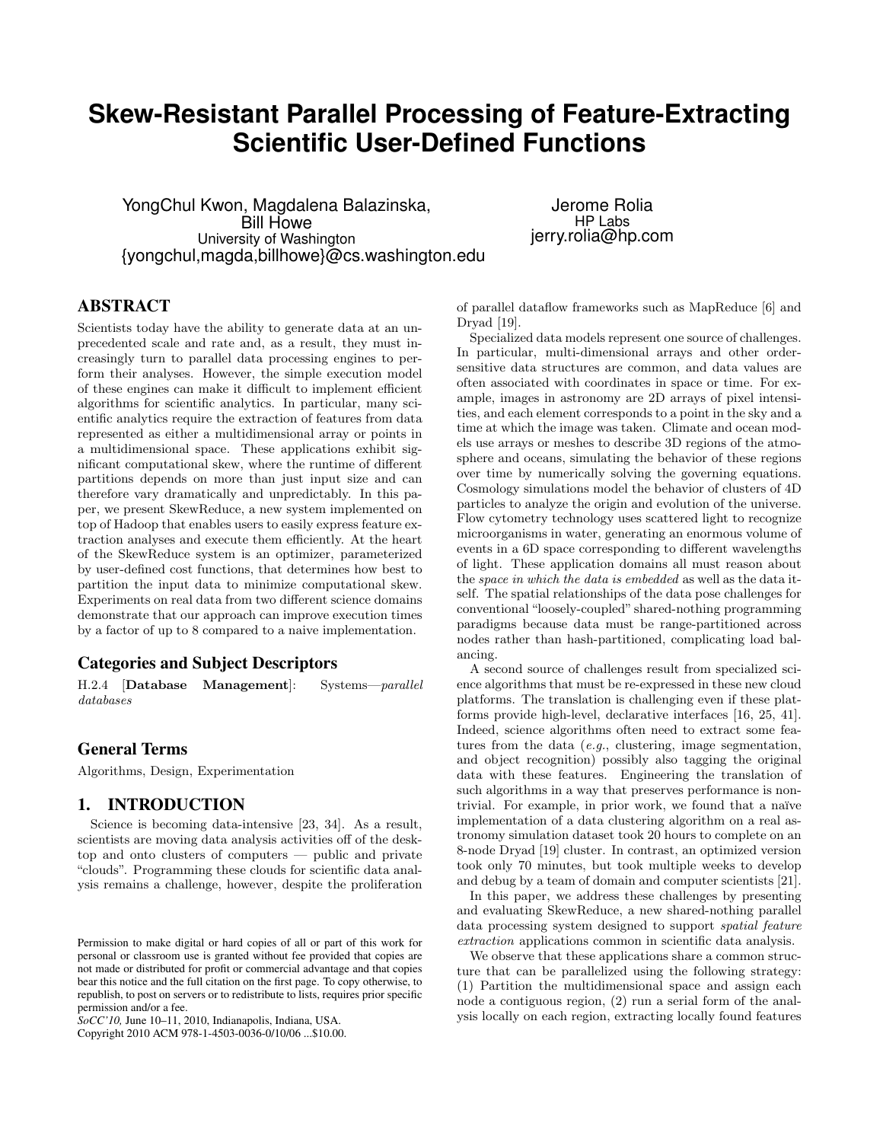# **Skew-Resistant Parallel Processing of Feature-Extracting Scientific User-Defined Functions**

YongChul Kwon, Magdalena Balazinska, Bill Howe University of Washington {yongchul,magda,billhowe}@cs.washington.edu

Jerome Rolia HP Labs jerry.rolia@hp.com

# ABSTRACT

Scientists today have the ability to generate data at an unprecedented scale and rate and, as a result, they must increasingly turn to parallel data processing engines to perform their analyses. However, the simple execution model of these engines can make it difficult to implement efficient algorithms for scientific analytics. In particular, many scientific analytics require the extraction of features from data represented as either a multidimensional array or points in a multidimensional space. These applications exhibit significant computational skew, where the runtime of different partitions depends on more than just input size and can therefore vary dramatically and unpredictably. In this paper, we present SkewReduce, a new system implemented on top of Hadoop that enables users to easily express feature extraction analyses and execute them efficiently. At the heart of the SkewReduce system is an optimizer, parameterized by user-defined cost functions, that determines how best to partition the input data to minimize computational skew. Experiments on real data from two different science domains demonstrate that our approach can improve execution times by a factor of up to 8 compared to a naive implementation.

## Categories and Subject Descriptors

H.2.4 [Database Management]: Systems—parallel databases

## General Terms

Algorithms, Design, Experimentation

## 1. INTRODUCTION

Science is becoming data-intensive [23, 34]. As a result, scientists are moving data analysis activities off of the desktop and onto clusters of computers — public and private "clouds". Programming these clouds for scientific data analysis remains a challenge, however, despite the proliferation

Copyright 2010 ACM 978-1-4503-0036-0/10/06 ...\$10.00.

of parallel dataflow frameworks such as MapReduce [6] and Dryad [19].

Specialized data models represent one source of challenges. In particular, multi-dimensional arrays and other ordersensitive data structures are common, and data values are often associated with coordinates in space or time. For example, images in astronomy are 2D arrays of pixel intensities, and each element corresponds to a point in the sky and a time at which the image was taken. Climate and ocean models use arrays or meshes to describe 3D regions of the atmosphere and oceans, simulating the behavior of these regions over time by numerically solving the governing equations. Cosmology simulations model the behavior of clusters of 4D particles to analyze the origin and evolution of the universe. Flow cytometry technology uses scattered light to recognize microorganisms in water, generating an enormous volume of events in a 6D space corresponding to different wavelengths of light. These application domains all must reason about the space in which the data is embedded as well as the data itself. The spatial relationships of the data pose challenges for conventional "loosely-coupled" shared-nothing programming paradigms because data must be range-partitioned across nodes rather than hash-partitioned, complicating load balancing.

A second source of challenges result from specialized science algorithms that must be re-expressed in these new cloud platforms. The translation is challenging even if these platforms provide high-level, declarative interfaces [16, 25, 41]. Indeed, science algorithms often need to extract some features from the data (e.g., clustering, image segmentation, and object recognition) possibly also tagging the original data with these features. Engineering the translation of such algorithms in a way that preserves performance is nontrivial. For example, in prior work, we found that a naïve implementation of a data clustering algorithm on a real astronomy simulation dataset took 20 hours to complete on an 8-node Dryad [19] cluster. In contrast, an optimized version took only 70 minutes, but took multiple weeks to develop and debug by a team of domain and computer scientists [21].

In this paper, we address these challenges by presenting and evaluating SkewReduce, a new shared-nothing parallel data processing system designed to support spatial feature extraction applications common in scientific data analysis.

We observe that these applications share a common structure that can be parallelized using the following strategy: (1) Partition the multidimensional space and assign each node a contiguous region, (2) run a serial form of the analysis locally on each region, extracting locally found features

Permission to make digital or hard copies of all or part of this work for personal or classroom use is granted without fee provided that copies are not made or distributed for profit or commercial advantage and that copies bear this notice and the full citation on the first page. To copy otherwise, to republish, to post on servers or to redistribute to lists, requires prior specific permission and/or a fee.

*SoCC'10,* June 10–11, 2010, Indianapolis, Indiana, USA.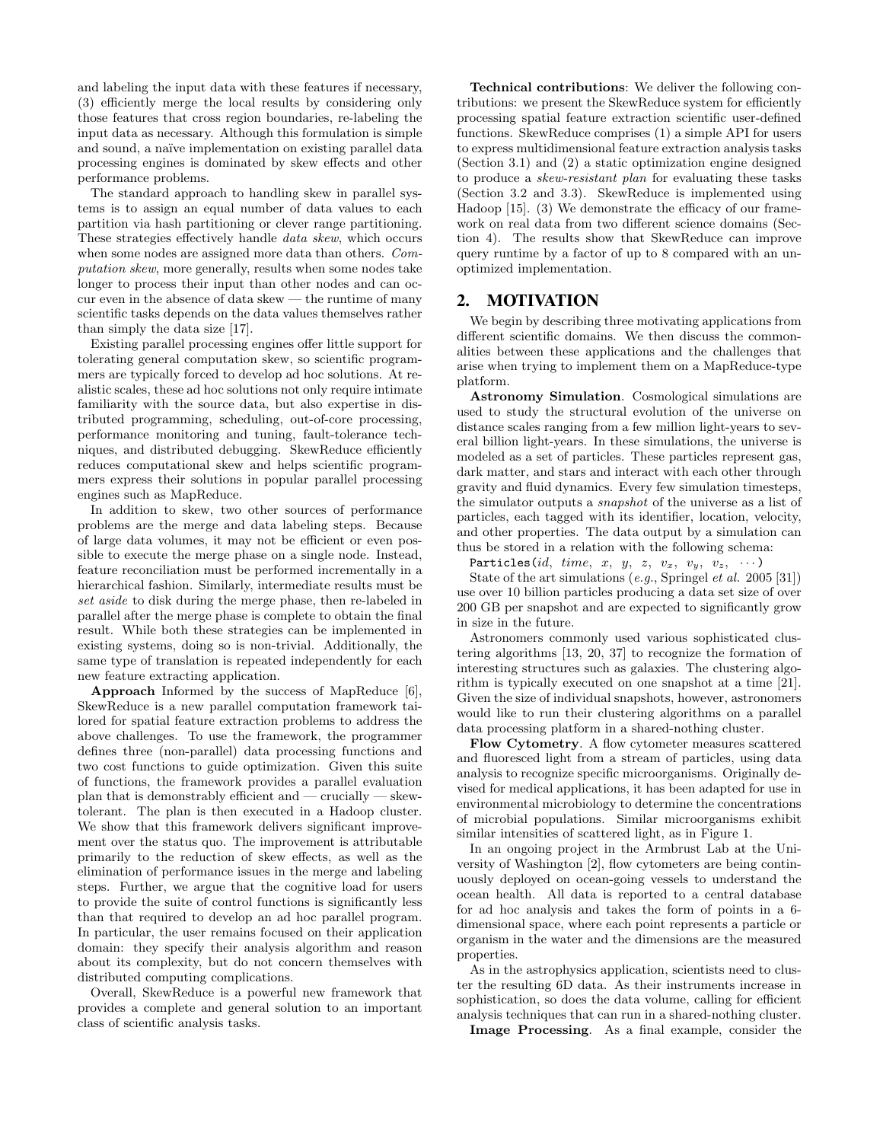and labeling the input data with these features if necessary, (3) efficiently merge the local results by considering only those features that cross region boundaries, re-labeling the input data as necessary. Although this formulation is simple and sound, a naïve implementation on existing parallel data processing engines is dominated by skew effects and other performance problems.

The standard approach to handling skew in parallel systems is to assign an equal number of data values to each partition via hash partitioning or clever range partitioning. These strategies effectively handle *data skew*, which occurs when some nodes are assigned more data than others. Computation skew, more generally, results when some nodes take longer to process their input than other nodes and can occur even in the absence of data skew — the runtime of many scientific tasks depends on the data values themselves rather than simply the data size [17].

Existing parallel processing engines offer little support for tolerating general computation skew, so scientific programmers are typically forced to develop ad hoc solutions. At realistic scales, these ad hoc solutions not only require intimate familiarity with the source data, but also expertise in distributed programming, scheduling, out-of-core processing, performance monitoring and tuning, fault-tolerance techniques, and distributed debugging. SkewReduce efficiently reduces computational skew and helps scientific programmers express their solutions in popular parallel processing engines such as MapReduce.

In addition to skew, two other sources of performance problems are the merge and data labeling steps. Because of large data volumes, it may not be efficient or even possible to execute the merge phase on a single node. Instead, feature reconciliation must be performed incrementally in a hierarchical fashion. Similarly, intermediate results must be set aside to disk during the merge phase, then re-labeled in parallel after the merge phase is complete to obtain the final result. While both these strategies can be implemented in existing systems, doing so is non-trivial. Additionally, the same type of translation is repeated independently for each new feature extracting application.

Approach Informed by the success of MapReduce [6], SkewReduce is a new parallel computation framework tailored for spatial feature extraction problems to address the above challenges. To use the framework, the programmer defines three (non-parallel) data processing functions and two cost functions to guide optimization. Given this suite of functions, the framework provides a parallel evaluation plan that is demonstrably efficient and — crucially — skewtolerant. The plan is then executed in a Hadoop cluster. We show that this framework delivers significant improvement over the status quo. The improvement is attributable primarily to the reduction of skew effects, as well as the elimination of performance issues in the merge and labeling steps. Further, we argue that the cognitive load for users to provide the suite of control functions is significantly less than that required to develop an ad hoc parallel program. In particular, the user remains focused on their application domain: they specify their analysis algorithm and reason about its complexity, but do not concern themselves with distributed computing complications.

Overall, SkewReduce is a powerful new framework that provides a complete and general solution to an important class of scientific analysis tasks.

Technical contributions: We deliver the following contributions: we present the SkewReduce system for efficiently processing spatial feature extraction scientific user-defined functions. SkewReduce comprises (1) a simple API for users to express multidimensional feature extraction analysis tasks (Section 3.1) and (2) a static optimization engine designed to produce a skew-resistant plan for evaluating these tasks (Section 3.2 and 3.3). SkewReduce is implemented using Hadoop [15]. (3) We demonstrate the efficacy of our framework on real data from two different science domains (Section 4). The results show that SkewReduce can improve query runtime by a factor of up to 8 compared with an unoptimized implementation.

## 2. MOTIVATION

We begin by describing three motivating applications from different scientific domains. We then discuss the commonalities between these applications and the challenges that arise when trying to implement them on a MapReduce-type platform.

Astronomy Simulation. Cosmological simulations are used to study the structural evolution of the universe on distance scales ranging from a few million light-years to several billion light-years. In these simulations, the universe is modeled as a set of particles. These particles represent gas, dark matter, and stars and interact with each other through gravity and fluid dynamics. Every few simulation timesteps, the simulator outputs a snapshot of the universe as a list of particles, each tagged with its identifier, location, velocity, and other properties. The data output by a simulation can thus be stored in a relation with the following schema:

Particles(id, time, x, y, z,  $v_x$ ,  $v_y$ ,  $v_z$ ,  $\cdots$ )

State of the art simulations (e.g., Springel et al. 2005 [31]) use over 10 billion particles producing a data set size of over 200 GB per snapshot and are expected to significantly grow in size in the future.

Astronomers commonly used various sophisticated clustering algorithms [13, 20, 37] to recognize the formation of interesting structures such as galaxies. The clustering algorithm is typically executed on one snapshot at a time [21]. Given the size of individual snapshots, however, astronomers would like to run their clustering algorithms on a parallel data processing platform in a shared-nothing cluster.

Flow Cytometry. A flow cytometer measures scattered and fluoresced light from a stream of particles, using data analysis to recognize specific microorganisms. Originally devised for medical applications, it has been adapted for use in environmental microbiology to determine the concentrations of microbial populations. Similar microorganisms exhibit similar intensities of scattered light, as in Figure 1.

In an ongoing project in the Armbrust Lab at the University of Washington [2], flow cytometers are being continuously deployed on ocean-going vessels to understand the ocean health. All data is reported to a central database for ad hoc analysis and takes the form of points in a 6 dimensional space, where each point represents a particle or organism in the water and the dimensions are the measured properties.

As in the astrophysics application, scientists need to cluster the resulting 6D data. As their instruments increase in sophistication, so does the data volume, calling for efficient analysis techniques that can run in a shared-nothing cluster.

Image Processing. As a final example, consider the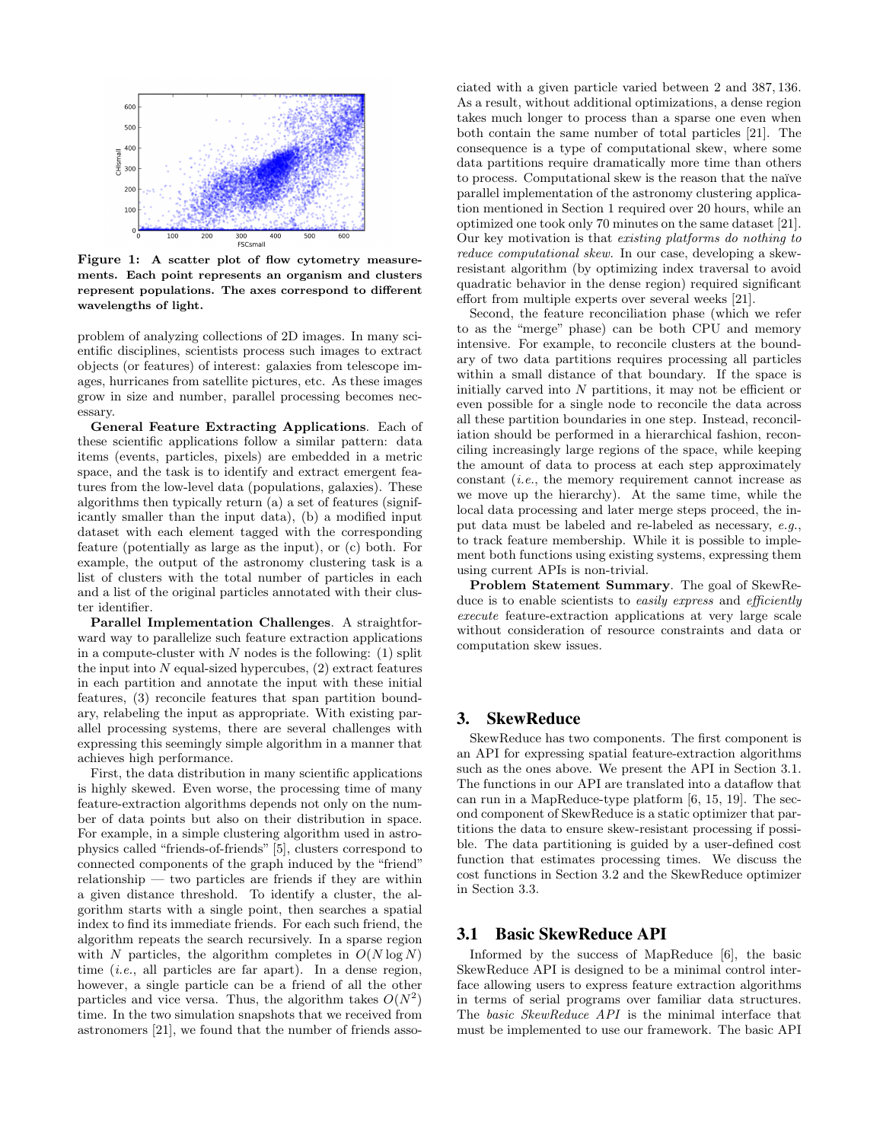

Figure 1: A scatter plot of flow cytometry measurements. Each point represents an organism and clusters represent populations. The axes correspond to different wavelengths of light.

problem of analyzing collections of 2D images. In many scientific disciplines, scientists process such images to extract objects (or features) of interest: galaxies from telescope images, hurricanes from satellite pictures, etc. As these images grow in size and number, parallel processing becomes necessary.

General Feature Extracting Applications. Each of these scientific applications follow a similar pattern: data items (events, particles, pixels) are embedded in a metric space, and the task is to identify and extract emergent features from the low-level data (populations, galaxies). These algorithms then typically return (a) a set of features (significantly smaller than the input data), (b) a modified input dataset with each element tagged with the corresponding feature (potentially as large as the input), or (c) both. For example, the output of the astronomy clustering task is a list of clusters with the total number of particles in each and a list of the original particles annotated with their cluster identifier.

Parallel Implementation Challenges. A straightforward way to parallelize such feature extraction applications in a compute-cluster with  $N$  nodes is the following: (1) split the input into  $N$  equal-sized hypercubes,  $(2)$  extract features in each partition and annotate the input with these initial features, (3) reconcile features that span partition boundary, relabeling the input as appropriate. With existing parallel processing systems, there are several challenges with expressing this seemingly simple algorithm in a manner that achieves high performance.

First, the data distribution in many scientific applications is highly skewed. Even worse, the processing time of many feature-extraction algorithms depends not only on the number of data points but also on their distribution in space. For example, in a simple clustering algorithm used in astrophysics called "friends-of-friends" [5], clusters correspond to connected components of the graph induced by the "friend" relationship — two particles are friends if they are within a given distance threshold. To identify a cluster, the algorithm starts with a single point, then searches a spatial index to find its immediate friends. For each such friend, the algorithm repeats the search recursively. In a sparse region with N particles, the algorithm completes in  $O(N \log N)$ time (i.e., all particles are far apart). In a dense region, however, a single particle can be a friend of all the other particles and vice versa. Thus, the algorithm takes  $O(N^2)$ time. In the two simulation snapshots that we received from astronomers [21], we found that the number of friends associated with a given particle varied between 2 and 387, 136. As a result, without additional optimizations, a dense region takes much longer to process than a sparse one even when both contain the same number of total particles [21]. The consequence is a type of computational skew, where some data partitions require dramatically more time than others to process. Computational skew is the reason that the naïve parallel implementation of the astronomy clustering application mentioned in Section 1 required over 20 hours, while an optimized one took only 70 minutes on the same dataset [21]. Our key motivation is that existing platforms do nothing to reduce computational skew. In our case, developing a skewresistant algorithm (by optimizing index traversal to avoid quadratic behavior in the dense region) required significant effort from multiple experts over several weeks [21].

Second, the feature reconciliation phase (which we refer to as the "merge" phase) can be both CPU and memory intensive. For example, to reconcile clusters at the boundary of two data partitions requires processing all particles within a small distance of that boundary. If the space is initially carved into  $N$  partitions, it may not be efficient or even possible for a single node to reconcile the data across all these partition boundaries in one step. Instead, reconciliation should be performed in a hierarchical fashion, reconciling increasingly large regions of the space, while keeping the amount of data to process at each step approximately constant (i.e., the memory requirement cannot increase as we move up the hierarchy). At the same time, while the local data processing and later merge steps proceed, the input data must be labeled and re-labeled as necessary, e.g., to track feature membership. While it is possible to implement both functions using existing systems, expressing them using current APIs is non-trivial.

Problem Statement Summary. The goal of SkewReduce is to enable scientists to easily express and efficiently execute feature-extraction applications at very large scale without consideration of resource constraints and data or computation skew issues.

## 3. SkewReduce

SkewReduce has two components. The first component is an API for expressing spatial feature-extraction algorithms such as the ones above. We present the API in Section 3.1. The functions in our API are translated into a dataflow that can run in a MapReduce-type platform [6, 15, 19]. The second component of SkewReduce is a static optimizer that partitions the data to ensure skew-resistant processing if possible. The data partitioning is guided by a user-defined cost function that estimates processing times. We discuss the cost functions in Section 3.2 and the SkewReduce optimizer in Section 3.3.

## 3.1 Basic SkewReduce API

Informed by the success of MapReduce [6], the basic SkewReduce API is designed to be a minimal control interface allowing users to express feature extraction algorithms in terms of serial programs over familiar data structures. The basic SkewReduce API is the minimal interface that must be implemented to use our framework. The basic API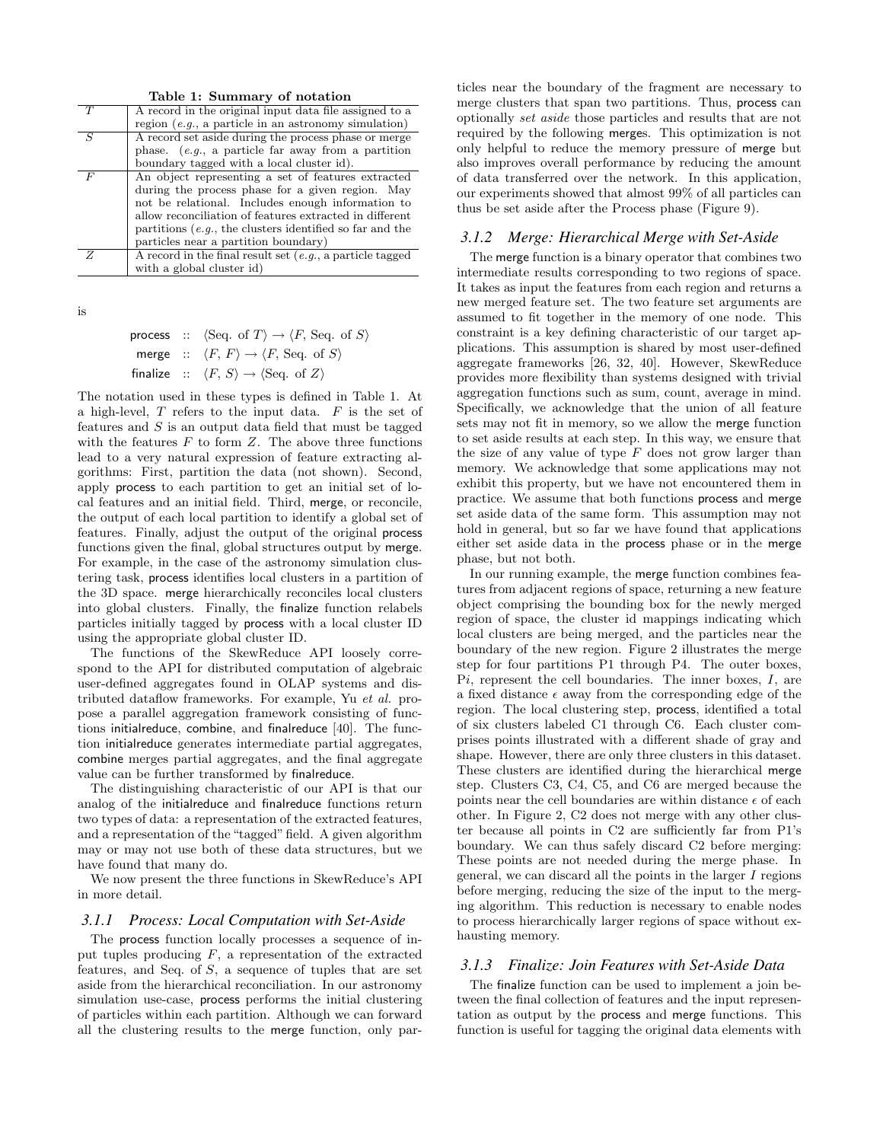|                | Table 1: Summary of notation                                 |  |  |  |  |
|----------------|--------------------------------------------------------------|--|--|--|--|
| T              | A record in the original input data file assigned to a       |  |  |  |  |
|                | region $(e.g., a particle in an astronomy simulation)$       |  |  |  |  |
| $\overline{S}$ | A record set aside during the process phase or merge         |  |  |  |  |
|                | phase. $(e,q, a particle far away from a partition)$         |  |  |  |  |
|                | boundary tagged with a local cluster id).                    |  |  |  |  |
| F              | An object representing a set of features extracted           |  |  |  |  |
|                | during the process phase for a given region. May             |  |  |  |  |
|                | not be relational. Includes enough information to            |  |  |  |  |
|                | allow reconciliation of features extracted in different      |  |  |  |  |
|                | partitions $(e,q)$ , the clusters identified so far and the  |  |  |  |  |
|                | particles near a partition boundary)                         |  |  |  |  |
| Z              | A record in the final result set $(e.g., a particle tagged)$ |  |  |  |  |
|                | with a global cluster id)                                    |  |  |  |  |

is

| <b>process</b> :: $\langle \text{Seq. of } T \rangle \rightarrow \langle F, \text{Seq. of } S \rangle$ |
|--------------------------------------------------------------------------------------------------------|
|                                                                                                        |
|                                                                                                        |
|                                                                                                        |

The notation used in these types is defined in Table 1. At a high-level,  $T$  refers to the input data.  $F$  is the set of features and  $S$  is an output data field that must be tagged with the features  $F$  to form  $Z$ . The above three functions lead to a very natural expression of feature extracting algorithms: First, partition the data (not shown). Second, apply process to each partition to get an initial set of local features and an initial field. Third, merge, or reconcile, the output of each local partition to identify a global set of features. Finally, adjust the output of the original process functions given the final, global structures output by merge. For example, in the case of the astronomy simulation clustering task, process identifies local clusters in a partition of the 3D space. merge hierarchically reconciles local clusters into global clusters. Finally, the finalize function relabels particles initially tagged by process with a local cluster ID using the appropriate global cluster ID.

The functions of the SkewReduce API loosely correspond to the API for distributed computation of algebraic user-defined aggregates found in OLAP systems and distributed dataflow frameworks. For example, Yu et al. propose a parallel aggregation framework consisting of functions initialreduce, combine, and finalreduce [40]. The function initialreduce generates intermediate partial aggregates, combine merges partial aggregates, and the final aggregate value can be further transformed by finalreduce.

The distinguishing characteristic of our API is that our analog of the initialreduce and finalreduce functions return two types of data: a representation of the extracted features, and a representation of the "tagged" field. A given algorithm may or may not use both of these data structures, but we have found that many do.

We now present the three functions in SkewReduce's API in more detail.

#### *3.1.1 Process: Local Computation with Set-Aside*

The process function locally processes a sequence of input tuples producing  $F$ , a representation of the extracted features, and Seq. of S, a sequence of tuples that are set aside from the hierarchical reconciliation. In our astronomy simulation use-case, process performs the initial clustering of particles within each partition. Although we can forward all the clustering results to the merge function, only particles near the boundary of the fragment are necessary to merge clusters that span two partitions. Thus, process can optionally set aside those particles and results that are not required by the following merges. This optimization is not only helpful to reduce the memory pressure of merge but also improves overall performance by reducing the amount of data transferred over the network. In this application, our experiments showed that almost 99% of all particles can thus be set aside after the Process phase (Figure 9).

#### *3.1.2 Merge: Hierarchical Merge with Set-Aside*

The merge function is a binary operator that combines two intermediate results corresponding to two regions of space. It takes as input the features from each region and returns a new merged feature set. The two feature set arguments are assumed to fit together in the memory of one node. This constraint is a key defining characteristic of our target applications. This assumption is shared by most user-defined aggregate frameworks [26, 32, 40]. However, SkewReduce provides more flexibility than systems designed with trivial aggregation functions such as sum, count, average in mind. Specifically, we acknowledge that the union of all feature sets may not fit in memory, so we allow the merge function to set aside results at each step. In this way, we ensure that the size of any value of type  $F$  does not grow larger than memory. We acknowledge that some applications may not exhibit this property, but we have not encountered them in practice. We assume that both functions process and merge set aside data of the same form. This assumption may not hold in general, but so far we have found that applications either set aside data in the process phase or in the merge phase, but not both.

In our running example, the merge function combines features from adjacent regions of space, returning a new feature object comprising the bounding box for the newly merged region of space, the cluster id mappings indicating which local clusters are being merged, and the particles near the boundary of the new region. Figure 2 illustrates the merge step for four partitions P1 through P4. The outer boxes, Pi, represent the cell boundaries. The inner boxes, I, are a fixed distance  $\epsilon$  away from the corresponding edge of the region. The local clustering step, process, identified a total of six clusters labeled C1 through C6. Each cluster comprises points illustrated with a different shade of gray and shape. However, there are only three clusters in this dataset. These clusters are identified during the hierarchical merge step. Clusters C3, C4, C5, and C6 are merged because the points near the cell boundaries are within distance  $\epsilon$  of each other. In Figure 2, C2 does not merge with any other cluster because all points in C2 are sufficiently far from P1's boundary. We can thus safely discard C2 before merging: These points are not needed during the merge phase. In general, we can discard all the points in the larger  $I$  regions before merging, reducing the size of the input to the merging algorithm. This reduction is necessary to enable nodes to process hierarchically larger regions of space without exhausting memory.

#### *3.1.3 Finalize: Join Features with Set-Aside Data*

The finalize function can be used to implement a join between the final collection of features and the input representation as output by the process and merge functions. This function is useful for tagging the original data elements with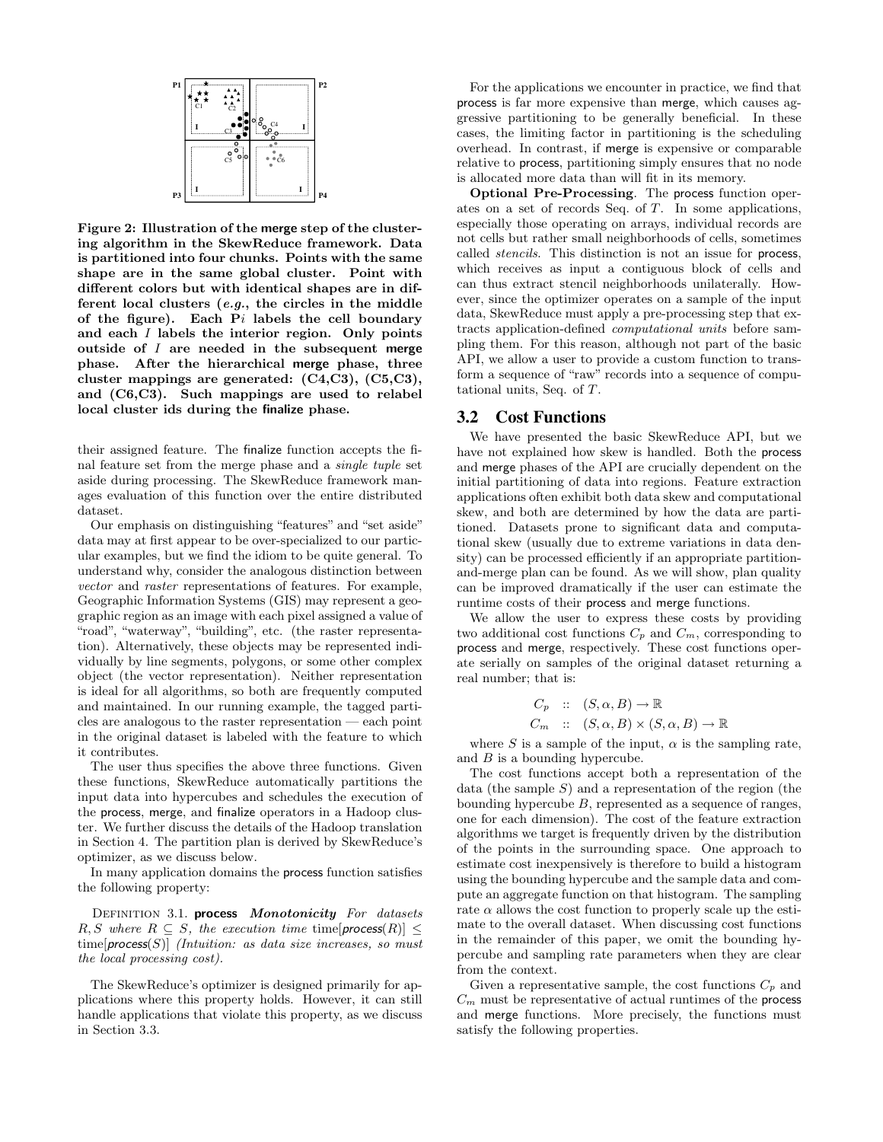

Figure 2: Illustration of the merge step of the clustering algorithm in the SkewReduce framework. Data is partitioned into four chunks. Points with the same shape are in the same global cluster. Point with different colors but with identical shapes are in different local clusters (e.g., the circles in the middle of the figure). Each  $Pi$  labels the cell boundary and each I labels the interior region. Only points outside of  $I$  are needed in the subsequent merge phase. After the hierarchical merge phase, three cluster mappings are generated: (C4,C3), (C5,C3), and (C6,C3). Such mappings are used to relabel local cluster ids during the finalize phase.

their assigned feature. The finalize function accepts the final feature set from the merge phase and a single tuple set aside during processing. The SkewReduce framework manages evaluation of this function over the entire distributed dataset.

Our emphasis on distinguishing "features" and "set aside" data may at first appear to be over-specialized to our particular examples, but we find the idiom to be quite general. To understand why, consider the analogous distinction between vector and raster representations of features. For example, Geographic Information Systems (GIS) may represent a geographic region as an image with each pixel assigned a value of "road", "waterway", "building", etc. (the raster representation). Alternatively, these objects may be represented individually by line segments, polygons, or some other complex object (the vector representation). Neither representation is ideal for all algorithms, so both are frequently computed and maintained. In our running example, the tagged particles are analogous to the raster representation — each point in the original dataset is labeled with the feature to which it contributes.

The user thus specifies the above three functions. Given these functions, SkewReduce automatically partitions the input data into hypercubes and schedules the execution of the process, merge, and finalize operators in a Hadoop cluster. We further discuss the details of the Hadoop translation in Section 4. The partition plan is derived by SkewReduce's optimizer, as we discuss below.

In many application domains the process function satisfies the following property:

DEFINITION 3.1. process Monotonicity For datasets  $R, S$  where  $R \subseteq S$ , the execution time time[**process** $(R)$ ]  $\leq$  $time[process(S)]$  (Intuition: as data size increases, so must the local processing cost).

The SkewReduce's optimizer is designed primarily for applications where this property holds. However, it can still handle applications that violate this property, as we discuss in Section 3.3.

For the applications we encounter in practice, we find that process is far more expensive than merge, which causes aggressive partitioning to be generally beneficial. In these cases, the limiting factor in partitioning is the scheduling overhead. In contrast, if merge is expensive or comparable relative to process, partitioning simply ensures that no node is allocated more data than will fit in its memory.

Optional Pre-Processing. The process function operates on a set of records Seq. of T. In some applications, especially those operating on arrays, individual records are not cells but rather small neighborhoods of cells, sometimes called stencils. This distinction is not an issue for process, which receives as input a contiguous block of cells and can thus extract stencil neighborhoods unilaterally. However, since the optimizer operates on a sample of the input data, SkewReduce must apply a pre-processing step that extracts application-defined computational units before sampling them. For this reason, although not part of the basic API, we allow a user to provide a custom function to transform a sequence of "raw" records into a sequence of computational units, Seq. of T.

#### 3.2 Cost Functions

We have presented the basic SkewReduce API, but we have not explained how skew is handled. Both the process and merge phases of the API are crucially dependent on the initial partitioning of data into regions. Feature extraction applications often exhibit both data skew and computational skew, and both are determined by how the data are partitioned. Datasets prone to significant data and computational skew (usually due to extreme variations in data density) can be processed efficiently if an appropriate partitionand-merge plan can be found. As we will show, plan quality can be improved dramatically if the user can estimate the runtime costs of their process and merge functions.

We allow the user to express these costs by providing two additional cost functions  $C_p$  and  $C_m$ , corresponding to process and merge, respectively. These cost functions operate serially on samples of the original dataset returning a real number; that is:

$$
C_p :: (S, \alpha, B) \to \mathbb{R}
$$
  

$$
C_m :: (S, \alpha, B) \times (S, \alpha, B) \to \mathbb{R}
$$

where S is a sample of the input,  $\alpha$  is the sampling rate, and  $B$  is a bounding hypercube.

The cost functions accept both a representation of the data (the sample  $S$ ) and a representation of the region (the bounding hypercube  $B$ , represented as a sequence of ranges, one for each dimension). The cost of the feature extraction algorithms we target is frequently driven by the distribution of the points in the surrounding space. One approach to estimate cost inexpensively is therefore to build a histogram using the bounding hypercube and the sample data and compute an aggregate function on that histogram. The sampling rate  $\alpha$  allows the cost function to properly scale up the estimate to the overall dataset. When discussing cost functions in the remainder of this paper, we omit the bounding hypercube and sampling rate parameters when they are clear from the context.

Given a representative sample, the cost functions  $C_p$  and  $C_m$  must be representative of actual runtimes of the process and merge functions. More precisely, the functions must satisfy the following properties.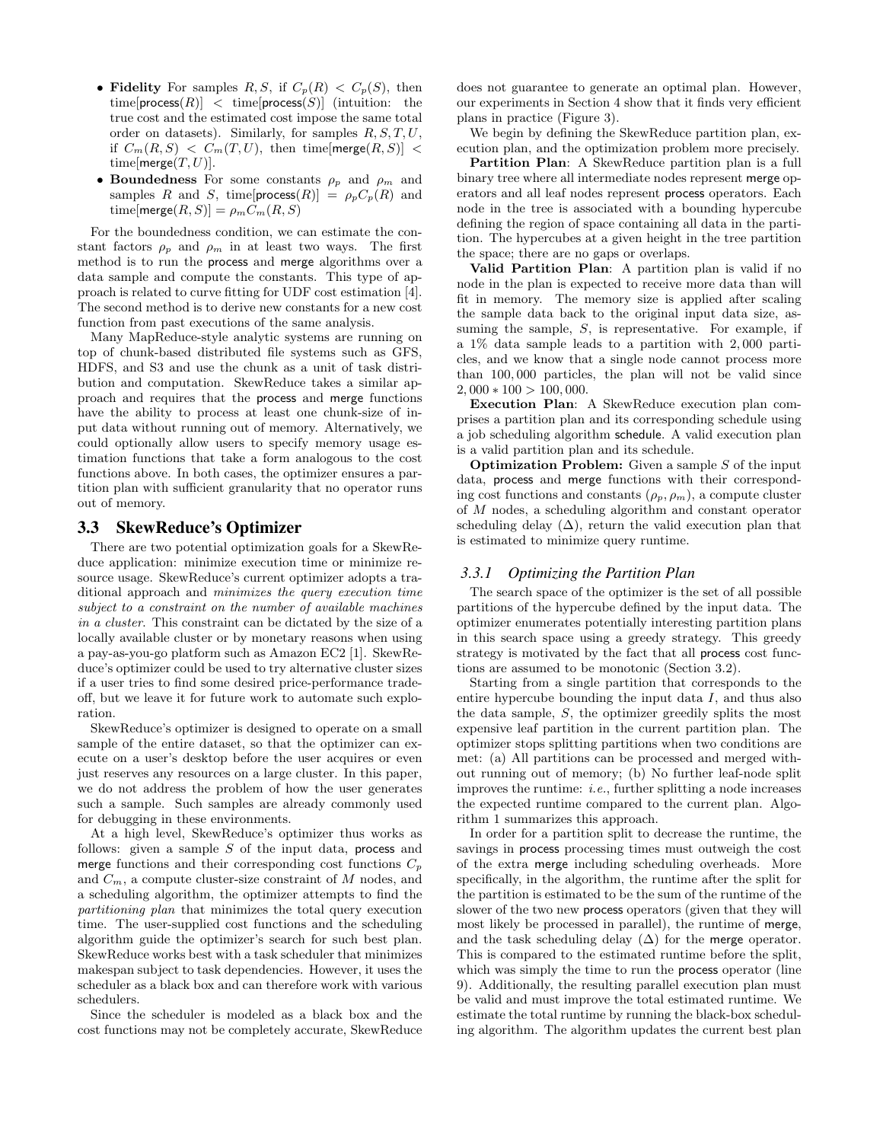- Fidelity For samples  $R, S$ , if  $C_p(R) < C_p(S)$ , then time[ $\mathsf{process}(R)$ ] < time[ $\mathsf{process}(S)$ ] (intuition: the true cost and the estimated cost impose the same total order on datasets). Similarly, for samples  $R, S, T, U$ , if  $C_m(R, S) < C_m(T, U)$ , then time[merge $(R, S)$ ] < time[ $merge(T, U)$ ].
- Boundedness For some constants  $\rho_p$  and  $\rho_m$  and samples R and S, time[ $\mathsf{process}(R)$ ] =  $\rho_p C_p(R)$  and time[merge $(R, S)$ ] =  $\rho_m C_m (R, S)$

For the boundedness condition, we can estimate the constant factors  $\rho_p$  and  $\rho_m$  in at least two ways. The first method is to run the process and merge algorithms over a data sample and compute the constants. This type of approach is related to curve fitting for UDF cost estimation [4]. The second method is to derive new constants for a new cost function from past executions of the same analysis.

Many MapReduce-style analytic systems are running on top of chunk-based distributed file systems such as GFS, HDFS, and S3 and use the chunk as a unit of task distribution and computation. SkewReduce takes a similar approach and requires that the process and merge functions have the ability to process at least one chunk-size of input data without running out of memory. Alternatively, we could optionally allow users to specify memory usage estimation functions that take a form analogous to the cost functions above. In both cases, the optimizer ensures a partition plan with sufficient granularity that no operator runs out of memory.

#### 3.3 SkewReduce's Optimizer

There are two potential optimization goals for a SkewReduce application: minimize execution time or minimize resource usage. SkewReduce's current optimizer adopts a traditional approach and minimizes the query execution time subject to a constraint on the number of available machines in a cluster. This constraint can be dictated by the size of a locally available cluster or by monetary reasons when using a pay-as-you-go platform such as Amazon EC2 [1]. SkewReduce's optimizer could be used to try alternative cluster sizes if a user tries to find some desired price-performance tradeoff, but we leave it for future work to automate such exploration.

SkewReduce's optimizer is designed to operate on a small sample of the entire dataset, so that the optimizer can execute on a user's desktop before the user acquires or even just reserves any resources on a large cluster. In this paper, we do not address the problem of how the user generates such a sample. Such samples are already commonly used for debugging in these environments.

At a high level, SkewReduce's optimizer thus works as follows: given a sample  $S$  of the input data, process and merge functions and their corresponding cost functions  $C_p$ and  $C_m$ , a compute cluster-size constraint of M nodes, and a scheduling algorithm, the optimizer attempts to find the partitioning plan that minimizes the total query execution time. The user-supplied cost functions and the scheduling algorithm guide the optimizer's search for such best plan. SkewReduce works best with a task scheduler that minimizes makespan subject to task dependencies. However, it uses the scheduler as a black box and can therefore work with various schedulers.

Since the scheduler is modeled as a black box and the cost functions may not be completely accurate, SkewReduce

does not guarantee to generate an optimal plan. However, our experiments in Section 4 show that it finds very efficient plans in practice (Figure 3).

We begin by defining the SkewReduce partition plan, execution plan, and the optimization problem more precisely.

Partition Plan: A SkewReduce partition plan is a full binary tree where all intermediate nodes represent merge operators and all leaf nodes represent process operators. Each node in the tree is associated with a bounding hypercube defining the region of space containing all data in the partition. The hypercubes at a given height in the tree partition the space; there are no gaps or overlaps.

Valid Partition Plan: A partition plan is valid if no node in the plan is expected to receive more data than will fit in memory. The memory size is applied after scaling the sample data back to the original input data size, assuming the sample, S, is representative. For example, if a 1% data sample leads to a partition with 2, 000 particles, and we know that a single node cannot process more than 100, 000 particles, the plan will not be valid since  $2,000 * 100 > 100,000.$ 

Execution Plan: A SkewReduce execution plan comprises a partition plan and its corresponding schedule using a job scheduling algorithm schedule. A valid execution plan is a valid partition plan and its schedule.

**Optimization Problem:** Given a sample  $S$  of the input data, process and merge functions with their corresponding cost functions and constants  $(\rho_p, \rho_m)$ , a compute cluster of M nodes, a scheduling algorithm and constant operator scheduling delay  $(\Delta)$ , return the valid execution plan that is estimated to minimize query runtime.

#### *3.3.1 Optimizing the Partition Plan*

The search space of the optimizer is the set of all possible partitions of the hypercube defined by the input data. The optimizer enumerates potentially interesting partition plans in this search space using a greedy strategy. This greedy strategy is motivated by the fact that all process cost functions are assumed to be monotonic (Section 3.2).

Starting from a single partition that corresponds to the entire hypercube bounding the input data  $I$ , and thus also the data sample, S, the optimizer greedily splits the most expensive leaf partition in the current partition plan. The optimizer stops splitting partitions when two conditions are met: (a) All partitions can be processed and merged without running out of memory; (b) No further leaf-node split improves the runtime: *i.e.*, further splitting a node increases the expected runtime compared to the current plan. Algorithm 1 summarizes this approach.

In order for a partition split to decrease the runtime, the savings in process processing times must outweigh the cost of the extra merge including scheduling overheads. More specifically, in the algorithm, the runtime after the split for the partition is estimated to be the sum of the runtime of the slower of the two new process operators (given that they will most likely be processed in parallel), the runtime of merge, and the task scheduling delay  $(\Delta)$  for the merge operator. This is compared to the estimated runtime before the split, which was simply the time to run the process operator (line 9). Additionally, the resulting parallel execution plan must be valid and must improve the total estimated runtime. We estimate the total runtime by running the black-box scheduling algorithm. The algorithm updates the current best plan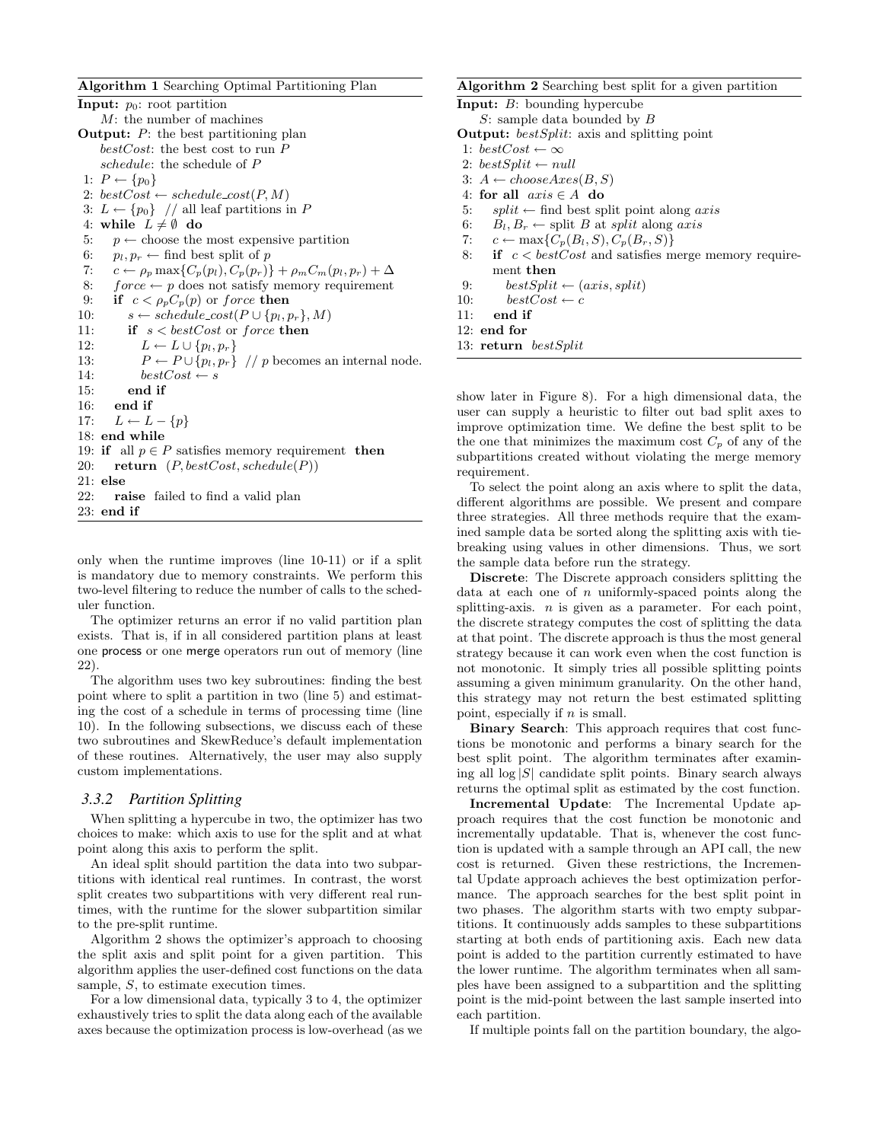Algorithm 1 Searching Optimal Partitioning Plan

**Input:**  $p_0$ : root partition M: the number of machines **Output:**  $P$ : the best partitioning plan  $bestCost$ : the best cost to run  $\overline{P}$ schedule: the schedule of P 1:  $P \leftarrow \{p_0\}$ 2: bestCost  $\leftarrow$  schedule\_cost(P, M) 3:  $L \leftarrow \{p_0\}$  // all leaf partitions in P 4: while  $L \neq \emptyset$  do 5:  $p \leftarrow$  choose the most expensive partition 6:  $p_l, p_r \leftarrow$  find best split of p 7:  $c \leftarrow \rho_p \max\{C_p(p_l), C_p(p_r)\} + \rho_m C_m(p_l, p_r) + \Delta$ 8:  $force \leftarrow p$  does not satisfy memory requirement 9: if  $c < \rho_p C_p(p)$  or force then 10:  $s \leftarrow schedule\_cost(P \cup \{p_l, p_r\}, M)$ 11: if  $s < bestCost$  or force then 12:  $L \leftarrow L \cup \{p_l, p_r\}$ 13:  $P \leftarrow P \cup \{p_l, p_r\}$  // p becomes an internal node. 14:  $bestCost \leftarrow s$ 15: end if 16: end if 17:  $L \leftarrow L - \{p\}$ 18: end while 19: if all  $p \in P$  satisfies memory requirement then 20: return  $(P, bestCost, schedule(P))$ 21: else 22: raise failed to find a valid plan 23: end if

only when the runtime improves (line 10-11) or if a split is mandatory due to memory constraints. We perform this two-level filtering to reduce the number of calls to the scheduler function.

The optimizer returns an error if no valid partition plan exists. That is, if in all considered partition plans at least one process or one merge operators run out of memory (line 22).

The algorithm uses two key subroutines: finding the best point where to split a partition in two (line 5) and estimating the cost of a schedule in terms of processing time (line 10). In the following subsections, we discuss each of these two subroutines and SkewReduce's default implementation of these routines. Alternatively, the user may also supply custom implementations.

#### *3.3.2 Partition Splitting*

When splitting a hypercube in two, the optimizer has two choices to make: which axis to use for the split and at what point along this axis to perform the split.

An ideal split should partition the data into two subpartitions with identical real runtimes. In contrast, the worst split creates two subpartitions with very different real runtimes, with the runtime for the slower subpartition similar to the pre-split runtime.

Algorithm 2 shows the optimizer's approach to choosing the split axis and split point for a given partition. This algorithm applies the user-defined cost functions on the data sample, S, to estimate execution times.

For a low dimensional data, typically 3 to 4, the optimizer exhaustively tries to split the data along each of the available axes because the optimization process is low-overhead (as we

#### Algorithm 2 Searching best split for a given partition

| <b>Input:</b> $B$ : bounding hypercube                            |
|-------------------------------------------------------------------|
| S: sample data bounded by $B$                                     |
| <b>Output:</b> $bestSplit: axis and splitting point$              |
| 1: $bestCost \leftarrow \infty$                                   |
| 2: bestSplit $\leftarrow null$                                    |
| 3: $A \leftarrow chooseAreas(B, S)$                               |
| 4: for all $axis \in A$ do                                        |
| $split \leftarrow \text{find best split point along } axis$<br>5: |
| $B_l, B_r \leftarrow$ split B at split along axis<br>6:           |
| $c \leftarrow \max\{C_n(B_l, S), C_n(B_r, S)\}\$<br>7:            |
| if $c < bestCost$ and satisfies merge memory require-<br>8:       |
| ment then                                                         |
| $bestSplit \leftarrow (axis, split)$<br>9:                        |
| $bestCost \leftarrow c$<br>10:                                    |
| 11:<br>end if                                                     |
|                                                                   |

- 12: end for
- 13: return bestSplit

show later in Figure 8). For a high dimensional data, the user can supply a heuristic to filter out bad split axes to improve optimization time. We define the best split to be the one that minimizes the maximum cost  $C_p$  of any of the subpartitions created without violating the merge memory requirement.

To select the point along an axis where to split the data, different algorithms are possible. We present and compare three strategies. All three methods require that the examined sample data be sorted along the splitting axis with tiebreaking using values in other dimensions. Thus, we sort the sample data before run the strategy.

Discrete: The Discrete approach considers splitting the data at each one of  $n$  uniformly-spaced points along the splitting-axis.  $n$  is given as a parameter. For each point, the discrete strategy computes the cost of splitting the data at that point. The discrete approach is thus the most general strategy because it can work even when the cost function is not monotonic. It simply tries all possible splitting points assuming a given minimum granularity. On the other hand, this strategy may not return the best estimated splitting point, especially if  $n$  is small.

Binary Search: This approach requires that cost functions be monotonic and performs a binary search for the best split point. The algorithm terminates after examining all  $log |S|$  candidate split points. Binary search always returns the optimal split as estimated by the cost function.

Incremental Update: The Incremental Update approach requires that the cost function be monotonic and incrementally updatable. That is, whenever the cost function is updated with a sample through an API call, the new cost is returned. Given these restrictions, the Incremental Update approach achieves the best optimization performance. The approach searches for the best split point in two phases. The algorithm starts with two empty subpartitions. It continuously adds samples to these subpartitions starting at both ends of partitioning axis. Each new data point is added to the partition currently estimated to have the lower runtime. The algorithm terminates when all samples have been assigned to a subpartition and the splitting point is the mid-point between the last sample inserted into each partition.

If multiple points fall on the partition boundary, the algo-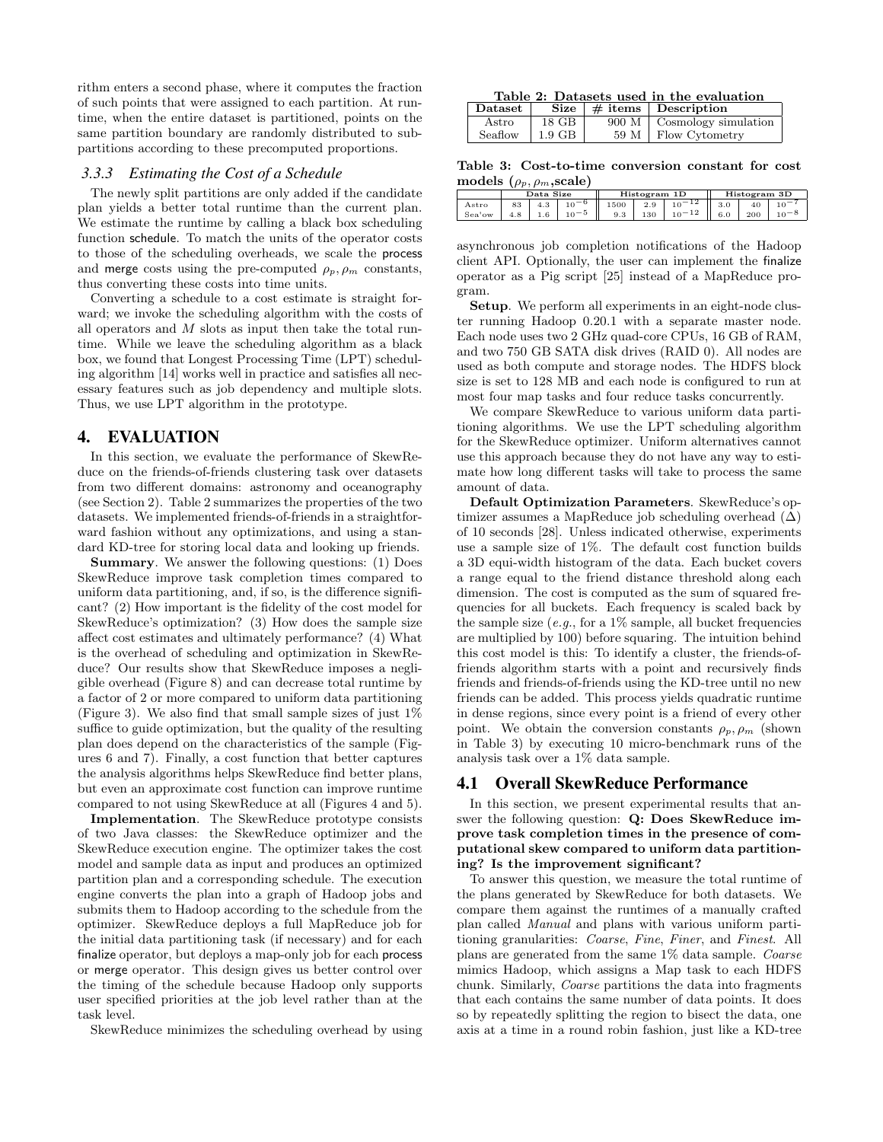rithm enters a second phase, where it computes the fraction of such points that were assigned to each partition. At runtime, when the entire dataset is partitioned, points on the same partition boundary are randomly distributed to subpartitions according to these precomputed proportions.

## *3.3.3 Estimating the Cost of a Schedule*

The newly split partitions are only added if the candidate plan yields a better total runtime than the current plan. We estimate the runtime by calling a black box scheduling function schedule. To match the units of the operator costs to those of the scheduling overheads, we scale the process and merge costs using the pre-computed  $\rho_p$ ,  $\rho_m$  constants, thus converting these costs into time units.

Converting a schedule to a cost estimate is straight forward; we invoke the scheduling algorithm with the costs of all operators and  $M$  slots as input then take the total runtime. While we leave the scheduling algorithm as a black box, we found that Longest Processing Time (LPT) scheduling algorithm [14] works well in practice and satisfies all necessary features such as job dependency and multiple slots. Thus, we use LPT algorithm in the prototype.

## 4. EVALUATION

In this section, we evaluate the performance of SkewReduce on the friends-of-friends clustering task over datasets from two different domains: astronomy and oceanography (see Section 2). Table 2 summarizes the properties of the two datasets. We implemented friends-of-friends in a straightforward fashion without any optimizations, and using a standard KD-tree for storing local data and looking up friends.

Summary. We answer the following questions: (1) Does SkewReduce improve task completion times compared to uniform data partitioning, and, if so, is the difference significant? (2) How important is the fidelity of the cost model for SkewReduce's optimization? (3) How does the sample size affect cost estimates and ultimately performance? (4) What is the overhead of scheduling and optimization in SkewReduce? Our results show that SkewReduce imposes a negligible overhead (Figure 8) and can decrease total runtime by a factor of 2 or more compared to uniform data partitioning (Figure 3). We also find that small sample sizes of just 1% suffice to guide optimization, but the quality of the resulting plan does depend on the characteristics of the sample (Figures 6 and 7). Finally, a cost function that better captures the analysis algorithms helps SkewReduce find better plans, but even an approximate cost function can improve runtime compared to not using SkewReduce at all (Figures 4 and 5).

Implementation. The SkewReduce prototype consists of two Java classes: the SkewReduce optimizer and the SkewReduce execution engine. The optimizer takes the cost model and sample data as input and produces an optimized partition plan and a corresponding schedule. The execution engine converts the plan into a graph of Hadoop jobs and submits them to Hadoop according to the schedule from the optimizer. SkewReduce deploys a full MapReduce job for the initial data partitioning task (if necessary) and for each finalize operator, but deploys a map-only job for each process or merge operator. This design gives us better control over the timing of the schedule because Hadoop only supports user specified priorities at the job level rather than at the task level.

SkewReduce minimizes the scheduling overhead by using

|  |  |  | Table 2: Datasets used in the evaluation |
|--|--|--|------------------------------------------|
|  |  |  |                                          |

| Dataset |                         | Size $\vert \#$ items $\vert$ Description |
|---------|-------------------------|-------------------------------------------|
| Astro   | $18$ GB $\vert$         | 900 M Cosmology simulation                |
| Seaflow | $1.9$ GB $\overline{ }$ | 59 M   Flow Cytometry                     |

Table 3: Cost-to-time conversion constant for cost models  $(\rho_m, \rho_m, scale)$ 

| -------- |           |     | $\langle \gamma \gamma \rangle$ |              |     |  |              |    |  |
|----------|-----------|-----|---------------------------------|--------------|-----|--|--------------|----|--|
|          | Data Size |     |                                 | Histogram 1D |     |  | Histogram 3D |    |  |
| Astro    | 83        | 4.3 |                                 | 1500         | 2.9 |  | o.u          | 40 |  |
| Sea'ow   | 4.0       |     |                                 | 9.3          |     |  | υ.υ          |    |  |
|          |           |     |                                 |              |     |  |              |    |  |

asynchronous job completion notifications of the Hadoop client API. Optionally, the user can implement the finalize operator as a Pig script [25] instead of a MapReduce program.

Setup. We perform all experiments in an eight-node cluster running Hadoop 0.20.1 with a separate master node. Each node uses two 2 GHz quad-core CPUs, 16 GB of RAM, and two 750 GB SATA disk drives (RAID 0). All nodes are used as both compute and storage nodes. The HDFS block size is set to 128 MB and each node is configured to run at most four map tasks and four reduce tasks concurrently.

We compare SkewReduce to various uniform data partitioning algorithms. We use the LPT scheduling algorithm for the SkewReduce optimizer. Uniform alternatives cannot use this approach because they do not have any way to estimate how long different tasks will take to process the same amount of data.

Default Optimization Parameters. SkewReduce's optimizer assumes a MapReduce job scheduling overhead  $(\Delta)$ of 10 seconds [28]. Unless indicated otherwise, experiments use a sample size of 1%. The default cost function builds a 3D equi-width histogram of the data. Each bucket covers a range equal to the friend distance threshold along each dimension. The cost is computed as the sum of squared frequencies for all buckets. Each frequency is scaled back by the sample size (e.g., for a  $1\%$  sample, all bucket frequencies are multiplied by 100) before squaring. The intuition behind this cost model is this: To identify a cluster, the friends-offriends algorithm starts with a point and recursively finds friends and friends-of-friends using the KD-tree until no new friends can be added. This process yields quadratic runtime in dense regions, since every point is a friend of every other point. We obtain the conversion constants  $\rho_p, \rho_m$  (shown in Table 3) by executing 10 micro-benchmark runs of the analysis task over a 1% data sample.

## 4.1 Overall SkewReduce Performance

In this section, we present experimental results that answer the following question: Q: Does SkewReduce improve task completion times in the presence of computational skew compared to uniform data partitioning? Is the improvement significant?

To answer this question, we measure the total runtime of the plans generated by SkewReduce for both datasets. We compare them against the runtimes of a manually crafted plan called Manual and plans with various uniform partitioning granularities: Coarse, Fine, Finer, and Finest. All plans are generated from the same 1% data sample. Coarse mimics Hadoop, which assigns a Map task to each HDFS chunk. Similarly, Coarse partitions the data into fragments that each contains the same number of data points. It does so by repeatedly splitting the region to bisect the data, one axis at a time in a round robin fashion, just like a KD-tree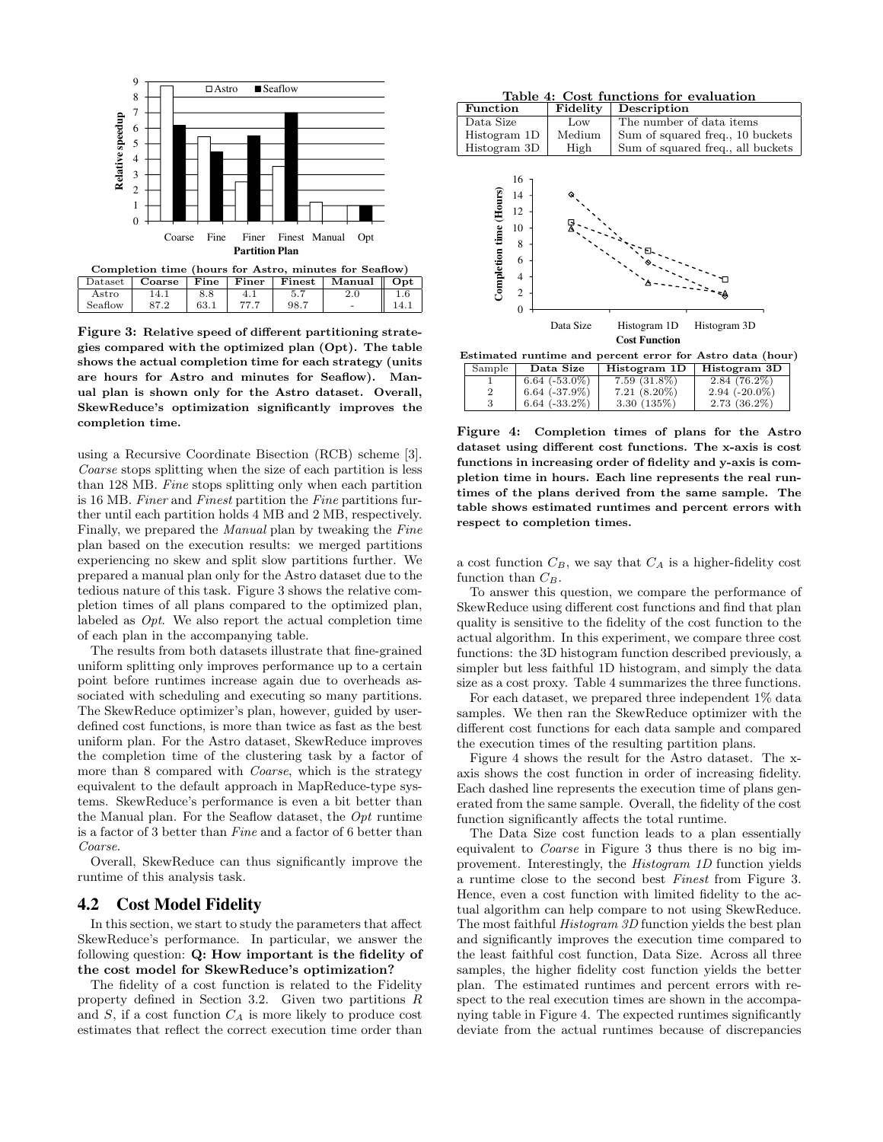

Figure 3: Relative speed of different partitioning strategies compared with the optimized plan (Opt). The table shows the actual completion time for each strategy (units are hours for Astro and minutes for Seaflow). Manual plan is shown only for the Astro dataset. Overall, SkewReduce's optimization significantly improves the completion time.

Seaflow | 87.2 | 63.1 | 77.7 | 98.7 | - || 14.1

using a Recursive Coordinate Bisection (RCB) scheme [3]. Coarse stops splitting when the size of each partition is less than 128 MB. Fine stops splitting only when each partition is 16 MB. Finer and Finest partition the Fine partitions further until each partition holds 4 MB and 2 MB, respectively. Finally, we prepared the Manual plan by tweaking the Fine plan based on the execution results: we merged partitions experiencing no skew and split slow partitions further. We prepared a manual plan only for the Astro dataset due to the tedious nature of this task. Figure 3 shows the relative completion times of all plans compared to the optimized plan, labeled as Opt. We also report the actual completion time of each plan in the accompanying table.

The results from both datasets illustrate that fine-grained uniform splitting only improves performance up to a certain point before runtimes increase again due to overheads associated with scheduling and executing so many partitions. The SkewReduce optimizer's plan, however, guided by userdefined cost functions, is more than twice as fast as the best uniform plan. For the Astro dataset, SkewReduce improves the completion time of the clustering task by a factor of more than 8 compared with *Coarse*, which is the strategy equivalent to the default approach in MapReduce-type systems. SkewReduce's performance is even a bit better than the Manual plan. For the Seaflow dataset, the Opt runtime is a factor of 3 better than Fine and a factor of 6 better than Coarse.

Overall, SkewReduce can thus significantly improve the runtime of this analysis task.

## 4.2 Cost Model Fidelity

In this section, we start to study the parameters that affect SkewReduce's performance. In particular, we answer the following question: Q: How important is the fidelity of the cost model for SkewReduce's optimization?

The fidelity of a cost function is related to the Fidelity property defined in Section 3.2. Given two partitions R and  $S$ , if a cost function  $C_A$  is more likely to produce cost estimates that reflect the correct execution time order than

 $T$  Table 4: Cost functions for  $\mathbf{F}$ 

|                                                                                                     |                         | Table 4: Cost functions for evaluation |                                                           |  |
|-----------------------------------------------------------------------------------------------------|-------------------------|----------------------------------------|-----------------------------------------------------------|--|
| <b>Function</b>                                                                                     | Fidelity                | Description                            |                                                           |  |
| Data Size                                                                                           | Low                     | The number of data items               |                                                           |  |
| Histogram 1D                                                                                        | Medium                  |                                        | Sum of squared freq., 10 buckets                          |  |
| Histogram 3D                                                                                        | High                    |                                        | Sum of squared freq., all buckets                         |  |
| 16<br><b>Completion time (Hours)</b><br>14<br>12<br>10<br>8<br>6<br>$\overline{4}$<br>2<br>$\Omega$ | $\mathbf{\hat{\omega}}$ |                                        | م≂                                                        |  |
|                                                                                                     | Data Size               | Histogram 1D                           | Histogram 3D                                              |  |
|                                                                                                     |                         | <b>Cost Function</b>                   |                                                           |  |
|                                                                                                     |                         |                                        | Estimated runtime and percent error for Astro data (hour) |  |
| Sample                                                                                              | Data Size               | Histogram 1D                           | Histogram 3D                                              |  |
| 1                                                                                                   | 6.64 $(-53.0\%)$        | $7.59(31.8\%)$                         | $2.84(76.2\%)$                                            |  |
| $\overline{2}$                                                                                      | $6.64$ (-37.9%)         | 7.21 (8.20%)                           | $2.94$ (-20.0%)                                           |  |

Figure 4: Completion times of plans for the Astro dataset using different cost functions. The x-axis is cost functions in increasing order of fidelity and y-axis is completion time in hours. Each line represents the real runtimes of the plans derived from the same sample. The table shows estimated runtimes and percent errors with respect to completion times.

3  $\begin{array}{|c|c|c|c|c|c|} \hline 3.64 & -33.2\% & 3.30 & 135\% & 2.73 & 36.2\% \hline \end{array}$ 

a cost function  $C_B$ , we say that  $C_A$  is a higher-fidelity cost function than  $C_B$ .

To answer this question, we compare the performance of SkewReduce using different cost functions and find that plan quality is sensitive to the fidelity of the cost function to the actual algorithm. In this experiment, we compare three cost functions: the 3D histogram function described previously, a simpler but less faithful 1D histogram, and simply the data size as a cost proxy. Table 4 summarizes the three functions.

For each dataset, we prepared three independent 1% data samples. We then ran the SkewReduce optimizer with the different cost functions for each data sample and compared the execution times of the resulting partition plans.

Figure 4 shows the result for the Astro dataset. The xaxis shows the cost function in order of increasing fidelity. Each dashed line represents the execution time of plans generated from the same sample. Overall, the fidelity of the cost function significantly affects the total runtime.

The Data Size cost function leads to a plan essentially equivalent to Coarse in Figure 3 thus there is no big improvement. Interestingly, the Histogram 1D function yields a runtime close to the second best Finest from Figure 3. Hence, even a cost function with limited fidelity to the actual algorithm can help compare to not using SkewReduce. The most faithful *Histogram 3D* function yields the best plan and significantly improves the execution time compared to the least faithful cost function, Data Size. Across all three samples, the higher fidelity cost function yields the better plan. The estimated runtimes and percent errors with respect to the real execution times are shown in the accompanying table in Figure 4. The expected runtimes significantly deviate from the actual runtimes because of discrepancies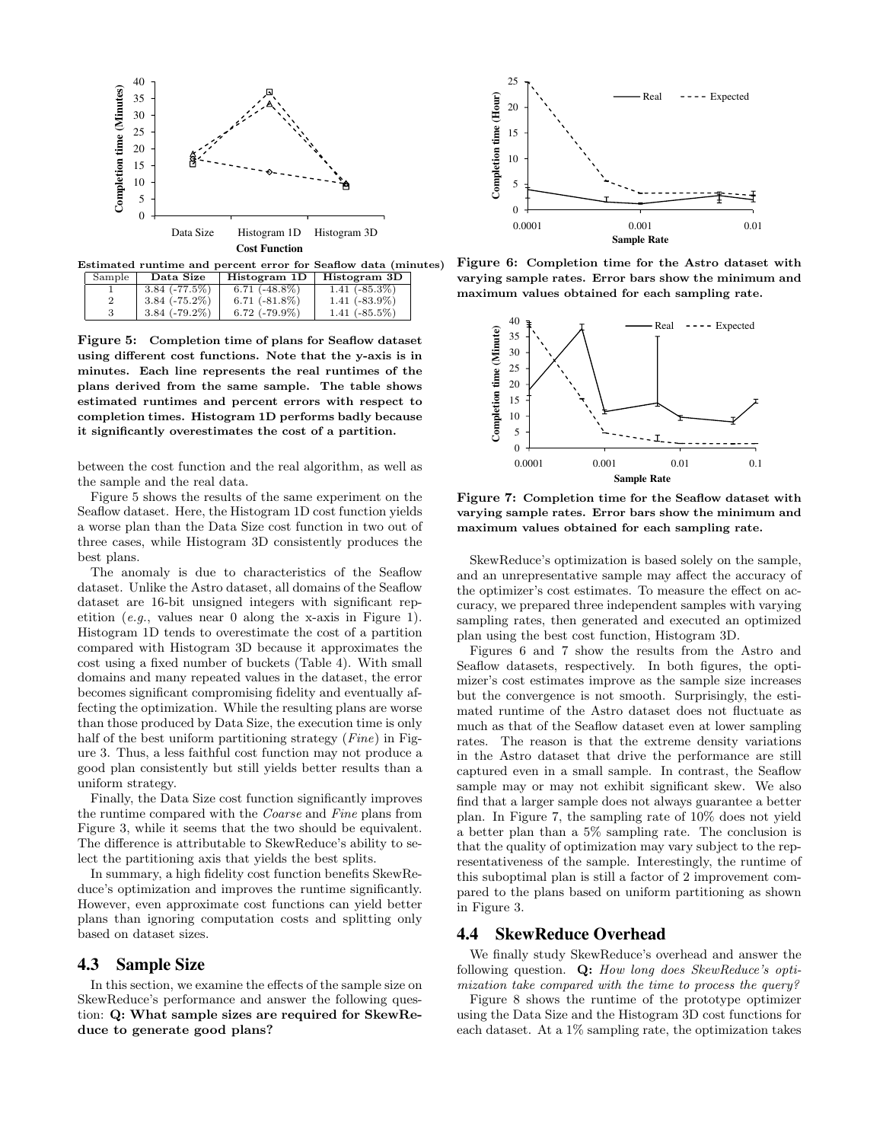

Estimated runtime and percent error for Seaflow data (minutes)

| Sample | Data Size            | Histogram 1D         | Histogram 3D    |  |
|--------|----------------------|----------------------|-----------------|--|
|        | $3.84$ ( $-77.5\%$ ) | $6.71$ ( $-48.8\%$ ) | $1.41(-85.3\%)$ |  |
| 2      | $3.84$ ( $-75.2\%$ ) | $6.71$ ( $-81.8\%$ ) | $1.41(-83.9\%)$ |  |
|        | $3.84$ (-79.2\%)     | $6.72$ ( $-79.9\%$ ) | $1.41(-85.5\%)$ |  |

Figure 5: Completion time of plans for Seaflow dataset using different cost functions. Note that the y-axis is in minutes. Each line represents the real runtimes of the plans derived from the same sample. The table shows estimated runtimes and percent errors with respect to completion times. Histogram 1D performs badly because it significantly overestimates the cost of a partition.

between the cost function and the real algorithm, as well as the sample and the real data.

Figure 5 shows the results of the same experiment on the Seaflow dataset. Here, the Histogram 1D cost function yields a worse plan than the Data Size cost function in two out of three cases, while Histogram 3D consistently produces the best plans.

The anomaly is due to characteristics of the Seaflow dataset. Unlike the Astro dataset, all domains of the Seaflow dataset are 16-bit unsigned integers with significant repetition (e.g., values near 0 along the x-axis in Figure 1). Histogram 1D tends to overestimate the cost of a partition compared with Histogram 3D because it approximates the cost using a fixed number of buckets (Table 4). With small domains and many repeated values in the dataset, the error becomes significant compromising fidelity and eventually affecting the optimization. While the resulting plans are worse than those produced by Data Size, the execution time is only half of the best uniform partitioning strategy (Fine) in Figure 3. Thus, a less faithful cost function may not produce a good plan consistently but still yields better results than a uniform strategy.

Finally, the Data Size cost function significantly improves the runtime compared with the Coarse and Fine plans from Figure 3, while it seems that the two should be equivalent. The difference is attributable to SkewReduce's ability to select the partitioning axis that yields the best splits.

In summary, a high fidelity cost function benefits SkewReduce's optimization and improves the runtime significantly. However, even approximate cost functions can yield better plans than ignoring computation costs and splitting only based on dataset sizes.

#### 4.3 Sample Size

In this section, we examine the effects of the sample size on SkewReduce's performance and answer the following question: Q: What sample sizes are required for SkewReduce to generate good plans?



Figure 6: Completion time for the Astro dataset with varying sample rates. Error bars show the minimum and maximum values obtained for each sampling rate.



Figure 7: Completion time for the Seaflow dataset with varying sample rates. Error bars show the minimum and maximum values obtained for each sampling rate.

SkewReduce's optimization is based solely on the sample, and an unrepresentative sample may affect the accuracy of the optimizer's cost estimates. To measure the effect on accuracy, we prepared three independent samples with varying sampling rates, then generated and executed an optimized plan using the best cost function, Histogram 3D.

Figures 6 and 7 show the results from the Astro and Seaflow datasets, respectively. In both figures, the optimizer's cost estimates improve as the sample size increases but the convergence is not smooth. Surprisingly, the estimated runtime of the Astro dataset does not fluctuate as much as that of the Seaflow dataset even at lower sampling rates. The reason is that the extreme density variations in the Astro dataset that drive the performance are still captured even in a small sample. In contrast, the Seaflow sample may or may not exhibit significant skew. We also find that a larger sample does not always guarantee a better plan. In Figure 7, the sampling rate of 10% does not yield a better plan than a 5% sampling rate. The conclusion is that the quality of optimization may vary subject to the representativeness of the sample. Interestingly, the runtime of this suboptimal plan is still a factor of 2 improvement compared to the plans based on uniform partitioning as shown in Figure 3.

## 4.4 SkewReduce Overhead

We finally study SkewReduce's overhead and answer the following question. Q: How long does SkewReduce's optimization take compared with the time to process the query?

Figure 8 shows the runtime of the prototype optimizer using the Data Size and the Histogram 3D cost functions for each dataset. At a 1% sampling rate, the optimization takes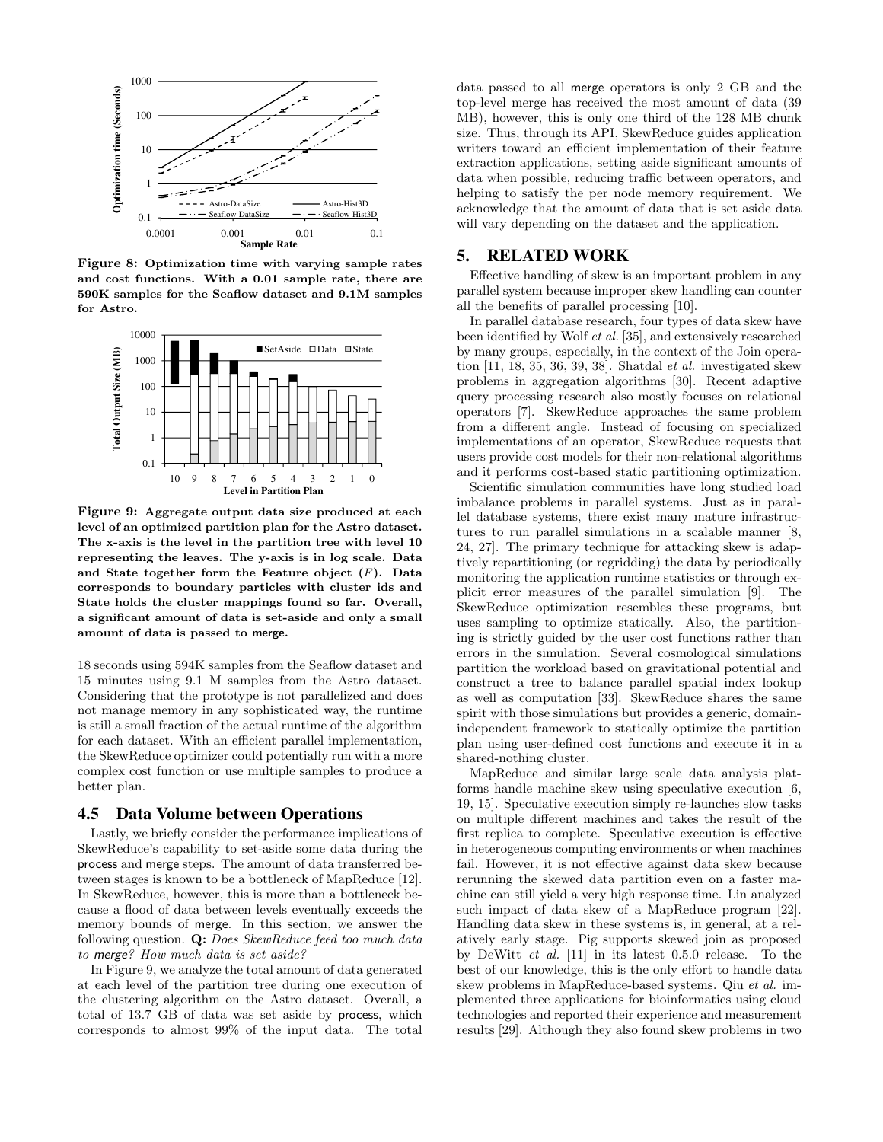

Figure 8: Optimization time with varying sample rates and cost functions. With a 0.01 sample rate, there are 590K samples for the Seaflow dataset and 9.1M samples for Astro.



Figure 9: Aggregate output data size produced at each level of an optimized partition plan for the Astro dataset. The x-axis is the level in the partition tree with level 10 representing the leaves. The y-axis is in log scale. Data and State together form the Feature object  $(F)$ . Data corresponds to boundary particles with cluster ids and State holds the cluster mappings found so far. Overall, a significant amount of data is set-aside and only a small amount of data is passed to merge.

18 seconds using 594K samples from the Seaflow dataset and 15 minutes using 9.1 M samples from the Astro dataset. Considering that the prototype is not parallelized and does not manage memory in any sophisticated way, the runtime is still a small fraction of the actual runtime of the algorithm for each dataset. With an efficient parallel implementation, the SkewReduce optimizer could potentially run with a more complex cost function or use multiple samples to produce a better plan.

#### 4.5 Data Volume between Operations

Lastly, we briefly consider the performance implications of SkewReduce's capability to set-aside some data during the process and merge steps. The amount of data transferred between stages is known to be a bottleneck of MapReduce [12]. In SkewReduce, however, this is more than a bottleneck because a flood of data between levels eventually exceeds the memory bounds of merge. In this section, we answer the following question. Q: Does SkewReduce feed too much data to merge? How much data is set aside?

In Figure 9, we analyze the total amount of data generated at each level of the partition tree during one execution of the clustering algorithm on the Astro dataset. Overall, a total of 13.7 GB of data was set aside by process, which corresponds to almost 99% of the input data. The total

data passed to all merge operators is only 2 GB and the top-level merge has received the most amount of data (39 MB), however, this is only one third of the 128 MB chunk size. Thus, through its API, SkewReduce guides application writers toward an efficient implementation of their feature extraction applications, setting aside significant amounts of data when possible, reducing traffic between operators, and helping to satisfy the per node memory requirement. We acknowledge that the amount of data that is set aside data will vary depending on the dataset and the application.

# 5. RELATED WORK

Effective handling of skew is an important problem in any parallel system because improper skew handling can counter all the benefits of parallel processing [10].

In parallel database research, four types of data skew have been identified by Wolf et al. [35], and extensively researched by many groups, especially, in the context of the Join operation  $[11, 18, 35, 36, 39, 38]$ . Shatdal *et al.* investigated skew problems in aggregation algorithms [30]. Recent adaptive query processing research also mostly focuses on relational operators [7]. SkewReduce approaches the same problem from a different angle. Instead of focusing on specialized implementations of an operator, SkewReduce requests that users provide cost models for their non-relational algorithms and it performs cost-based static partitioning optimization.

Scientific simulation communities have long studied load imbalance problems in parallel systems. Just as in parallel database systems, there exist many mature infrastructures to run parallel simulations in a scalable manner [8, 24, 27]. The primary technique for attacking skew is adaptively repartitioning (or regridding) the data by periodically monitoring the application runtime statistics or through explicit error measures of the parallel simulation [9]. The SkewReduce optimization resembles these programs, but uses sampling to optimize statically. Also, the partitioning is strictly guided by the user cost functions rather than errors in the simulation. Several cosmological simulations partition the workload based on gravitational potential and construct a tree to balance parallel spatial index lookup as well as computation [33]. SkewReduce shares the same spirit with those simulations but provides a generic, domainindependent framework to statically optimize the partition plan using user-defined cost functions and execute it in a shared-nothing cluster.

MapReduce and similar large scale data analysis platforms handle machine skew using speculative execution [6, 19, 15]. Speculative execution simply re-launches slow tasks on multiple different machines and takes the result of the first replica to complete. Speculative execution is effective in heterogeneous computing environments or when machines fail. However, it is not effective against data skew because rerunning the skewed data partition even on a faster machine can still yield a very high response time. Lin analyzed such impact of data skew of a MapReduce program [22]. Handling data skew in these systems is, in general, at a relatively early stage. Pig supports skewed join as proposed by DeWitt et al. [11] in its latest 0.5.0 release. To the best of our knowledge, this is the only effort to handle data skew problems in MapReduce-based systems. Qiu et al. implemented three applications for bioinformatics using cloud technologies and reported their experience and measurement results [29]. Although they also found skew problems in two